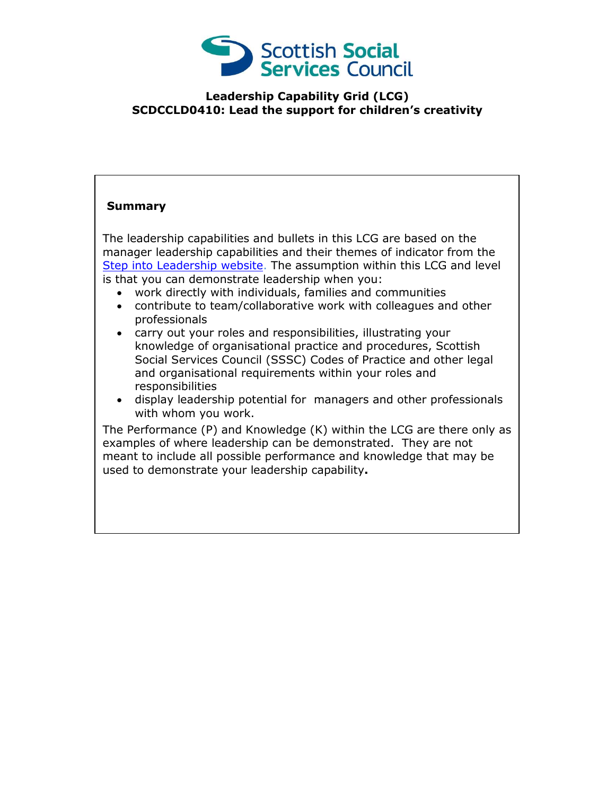

## **Leadership Capability Grid (LCG) SCDCCLD0410: Lead the support for children's creativity**

## **Summary**

The leadership capabilities and bullets in this LCG are based on the manager leadership capabilities and their themes of indicator from the [Step into Leadership website.](http://www.stepintoleadership.info/) The assumption within this LCG and level is that you can demonstrate leadership when you:

- work directly with individuals, families and communities
- contribute to team/collaborative work with colleagues and other professionals
- carry out your roles and responsibilities, illustrating your knowledge of organisational practice and procedures, Scottish Social Services Council (SSSC) Codes of Practice and other legal and organisational requirements within your roles and responsibilities
- display leadership potential for managers and other professionals with whom you work.

The Performance (P) and Knowledge (K) within the LCG are there only as examples of where leadership can be demonstrated. They are not meant to include all possible performance and knowledge that may be used to demonstrate your leadership capability**.**